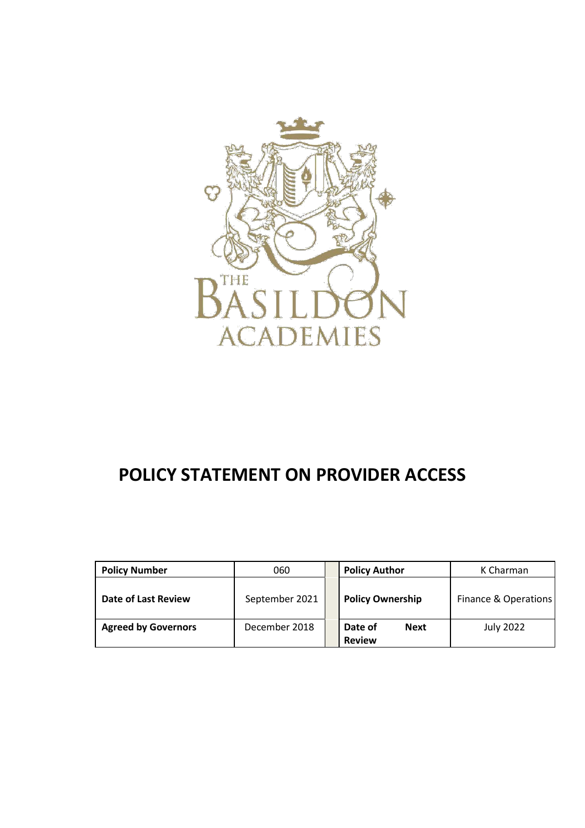

# **POLICY STATEMENT ON PROVIDER ACCESS**

| <b>Policy Number</b>       | 060            | <b>Policy Author</b>                    | K Charman            |
|----------------------------|----------------|-----------------------------------------|----------------------|
| Date of Last Review        | September 2021 | <b>Policy Ownership</b>                 | Finance & Operations |
| <b>Agreed by Governors</b> | December 2018  | Date of<br><b>Next</b><br><b>Review</b> | July 2022            |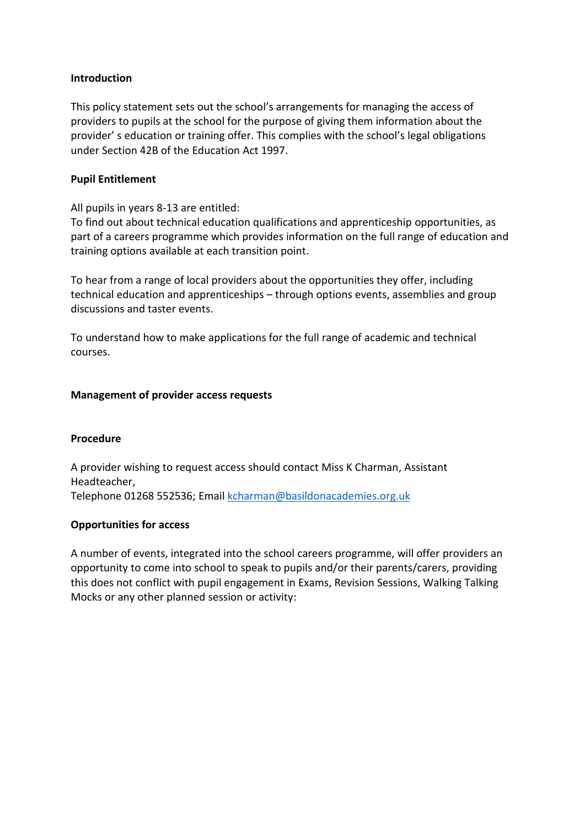# **Introduction**

This policy statement sets out the school's arrangements for managing the access of providers to pupils at the school for the purpose of giving them information about the provider' s education or training offer. This complies with the school's legal obligations under Section 42B of the Education Act 1997.

# **Pupil Entitlement**

All pupils in years 8-13 are entitled:

To find out about technical education qualifications and apprenticeship opportunities, as part of a careers programme which provides information on the full range of education and training options available at each transition point.

To hear from a range of local providers about the opportunities they offer, including technical education and apprenticeships – through options events, assemblies and group discussions and taster events.

To understand how to make applications for the full range of academic and technical courses.

# **Management of provider access requests**

#### **Procedure**

A provider wishing to request access should contact Miss K Charman, Assistant Headteacher, Telephone 01268 552536; Email [kcharman@basildonacademies.org.uk](mailto:kcharman@basildonacademies.org.uk)

#### **Opportunities for access**

A number of events, integrated into the school careers programme, will offer providers an opportunity to come into school to speak to pupils and/or their parents/carers, providing this does not conflict with pupil engagement in Exams, Revision Sessions, Walking Talking Mocks or any other planned session or activity: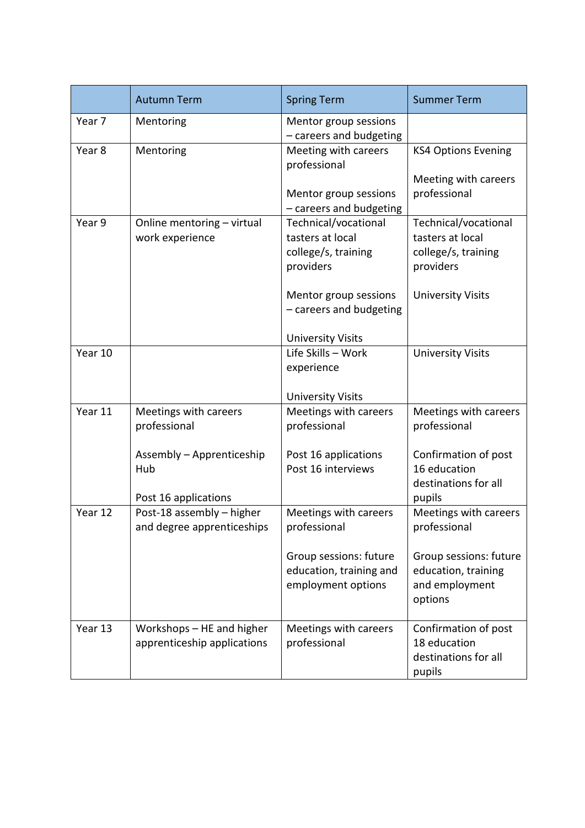|                     | <b>Autumn Term</b>                                       | <b>Spring Term</b>                                                           | <b>Summer Term</b>                                                           |
|---------------------|----------------------------------------------------------|------------------------------------------------------------------------------|------------------------------------------------------------------------------|
| Year 7              | Mentoring                                                | Mentor group sessions<br>- careers and budgeting                             |                                                                              |
| Year 8<br>Mentoring |                                                          | Meeting with careers<br>professional                                         | <b>KS4 Options Evening</b>                                                   |
|                     |                                                          | Mentor group sessions<br>- careers and budgeting                             | Meeting with careers<br>professional                                         |
| Year 9              | Online mentoring - virtual<br>work experience            | Technical/vocational<br>tasters at local<br>college/s, training<br>providers | Technical/vocational<br>tasters at local<br>college/s, training<br>providers |
|                     |                                                          | Mentor group sessions<br>- careers and budgeting                             | <b>University Visits</b>                                                     |
|                     |                                                          | <b>University Visits</b>                                                     |                                                                              |
| Year 10             |                                                          | Life Skills - Work<br>experience                                             | <b>University Visits</b>                                                     |
|                     |                                                          | <b>University Visits</b>                                                     |                                                                              |
| Year 11             | Meetings with careers<br>professional                    | Meetings with careers<br>professional                                        | Meetings with careers<br>professional                                        |
|                     | Assembly - Apprenticeship<br>Hub<br>Post 16 applications | Post 16 applications<br>Post 16 interviews                                   | Confirmation of post<br>16 education<br>destinations for all<br>pupils       |
| Year 12             | Post-18 assembly - higher<br>and degree apprenticeships  | Meetings with careers<br>professional                                        | Meetings with careers<br>professional                                        |
|                     |                                                          | Group sessions: future<br>education, training and<br>employment options      | Group sessions: future<br>education, training<br>and employment<br>options   |
| Year 13             | Workshops - HE and higher<br>apprenticeship applications | Meetings with careers<br>professional                                        | Confirmation of post<br>18 education<br>destinations for all<br>pupils       |